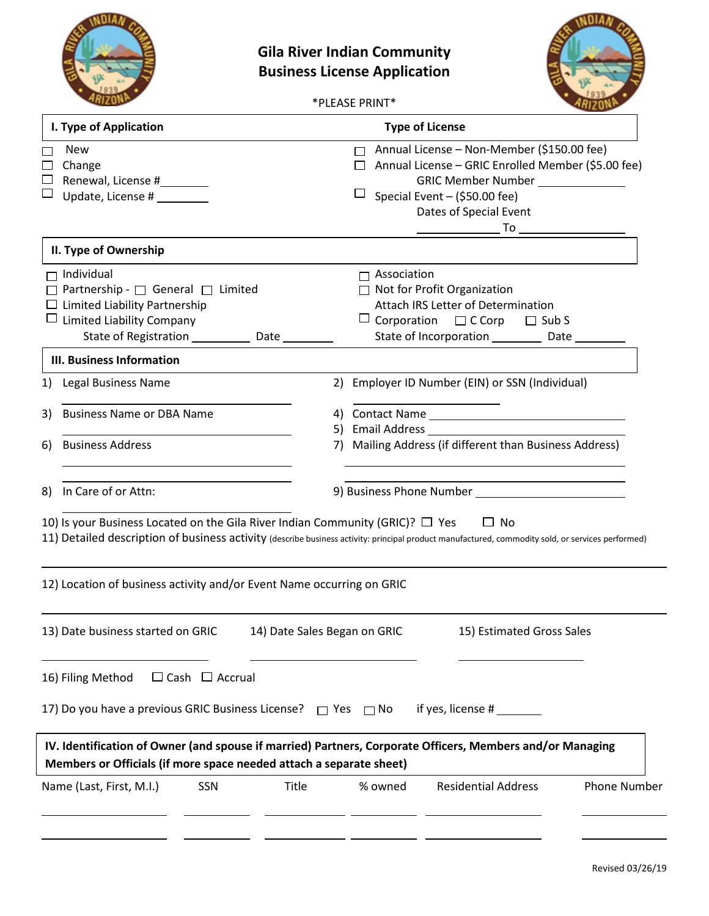



\*PLEASE PRINT\*

| 1) | <b>New</b><br>Change<br>Renewal, License #<br>Update, License # ________<br>II. Type of Ownership<br>Individual<br>Partnership - □ General □ Limited<br>$\Box$ Limited Liability Partnership<br>Limited Liability Company<br>State of Registration __________ |                              |                                                                                                                | $\Box$ Association | Annual License - Non-Member (\$150.00 fee)<br>Annual License - GRIC Enrolled Member (\$5.00 fee)<br><b>GRIC Member Number</b><br>Special Event - (\$50.00 fee)<br>Dates of Special Event<br>$\overline{a}$ To $\overline{a}$ |                     |
|----|---------------------------------------------------------------------------------------------------------------------------------------------------------------------------------------------------------------------------------------------------------------|------------------------------|----------------------------------------------------------------------------------------------------------------|--------------------|------------------------------------------------------------------------------------------------------------------------------------------------------------------------------------------------------------------------------|---------------------|
|    |                                                                                                                                                                                                                                                               |                              |                                                                                                                |                    |                                                                                                                                                                                                                              |                     |
|    |                                                                                                                                                                                                                                                               |                              |                                                                                                                |                    |                                                                                                                                                                                                                              |                     |
|    |                                                                                                                                                                                                                                                               | Date                         |                                                                                                                |                    | $\Box$ Not for Profit Organization<br><b>Attach IRS Letter of Determination</b><br>$\Box$ Corporation $\Box$ C Corp<br>$\Box$ Sub S<br>State of Incorporation _____________ Date ___                                         |                     |
|    | <b>III. Business Information</b>                                                                                                                                                                                                                              |                              |                                                                                                                |                    |                                                                                                                                                                                                                              |                     |
|    | <b>Legal Business Name</b>                                                                                                                                                                                                                                    |                              |                                                                                                                |                    | 2) Employer ID Number (EIN) or SSN (Individual)                                                                                                                                                                              |                     |
| 3) | <b>Business Name or DBA Name</b>                                                                                                                                                                                                                              |                              | 5)                                                                                                             |                    | 4) Contact Name<br>Email Address National American Services                                                                                                                                                                  |                     |
| 6) | <b>Business Address</b>                                                                                                                                                                                                                                       |                              | 7)                                                                                                             |                    | Mailing Address (if different than Business Address)                                                                                                                                                                         |                     |
| 8) | In Care of or Attn:                                                                                                                                                                                                                                           |                              | 9) Business Phone Number [19] Dusiness Phone Number [19] Dusiness Phone Number [19] Dusiness Research Dusiness |                    |                                                                                                                                                                                                                              |                     |
|    | 10) Is your Business Located on the Gila River Indian Community (GRIC)? $\Box$ Yes<br>11) Detailed description of business activity (describe business activity: principal product manufactured, commodity sold, or services performed)                       |                              |                                                                                                                |                    | $\Box$ No                                                                                                                                                                                                                    |                     |
|    | 12) Location of business activity and/or Event Name occurring on GRIC                                                                                                                                                                                         |                              |                                                                                                                |                    |                                                                                                                                                                                                                              |                     |
|    | 13) Date business started on GRIC                                                                                                                                                                                                                             | 14) Date Sales Began on GRIC |                                                                                                                |                    | 15) Estimated Gross Sales                                                                                                                                                                                                    |                     |
|    | 16) Filing Method<br>$\Box$ Cash $\Box$ Accrual                                                                                                                                                                                                               |                              |                                                                                                                |                    |                                                                                                                                                                                                                              |                     |
|    | 17) Do you have a previous GRIC Business License? $\Box$ Yes $\Box$ No                                                                                                                                                                                        |                              |                                                                                                                |                    | if yes, license #                                                                                                                                                                                                            |                     |
|    | IV. Identification of Owner (and spouse if married) Partners, Corporate Officers, Members and/or Managing<br>Members or Officials (if more space needed attach a separate sheet)                                                                              |                              |                                                                                                                |                    |                                                                                                                                                                                                                              |                     |
|    | SSN<br>Name (Last, First, M.I.)                                                                                                                                                                                                                               | Title                        |                                                                                                                | % owned            | <b>Residential Address</b>                                                                                                                                                                                                   | <b>Phone Number</b> |